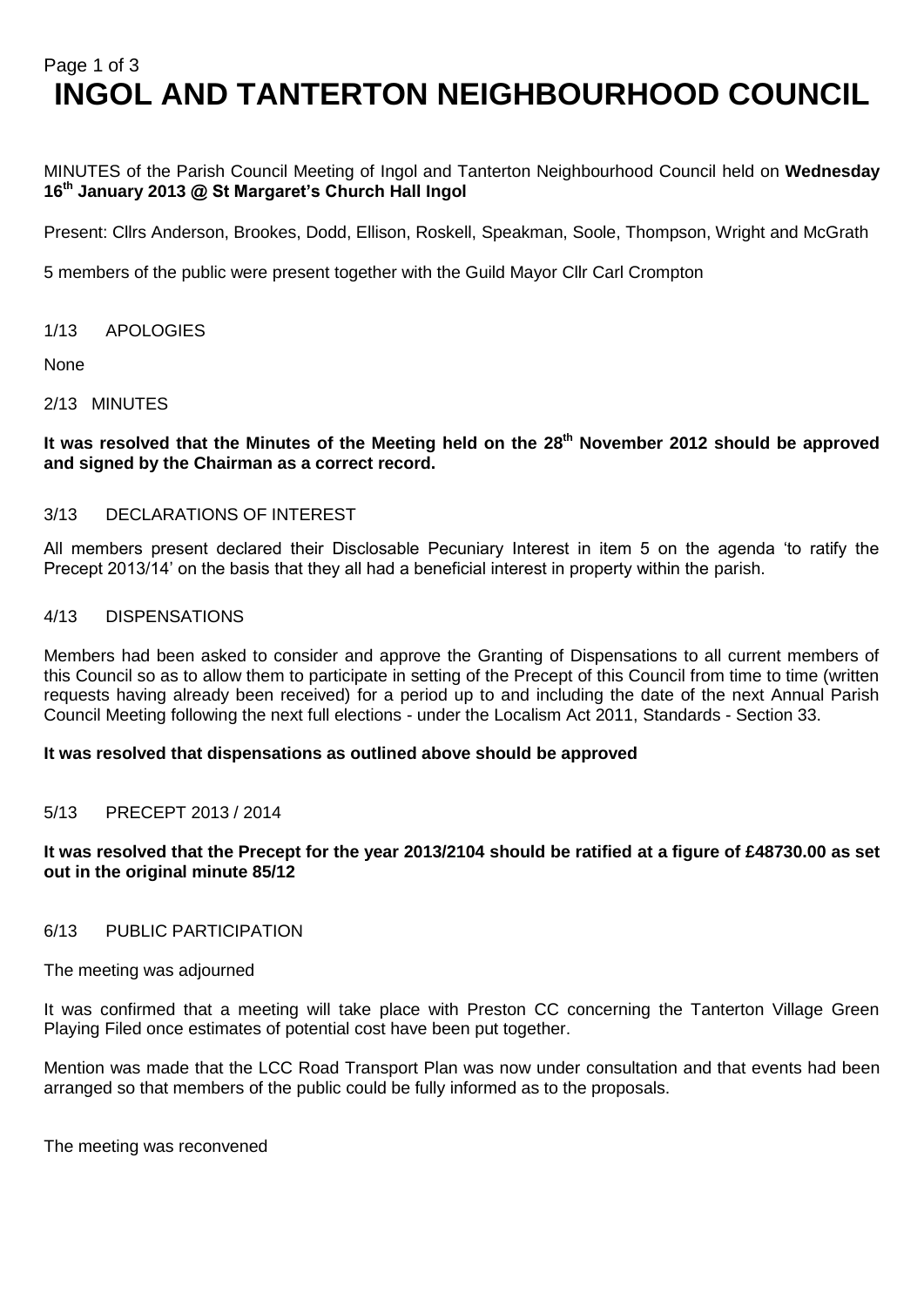# Page 1 of 3 **INGOL AND TANTERTON NEIGHBOURHOOD COUNCIL**

MINUTES of the Parish Council Meeting of Ingol and Tanterton Neighbourhood Council held on **Wednesday 16th January 2013 @ St Margaret's Church Hall Ingol** 

Present: Cllrs Anderson, Brookes, Dodd, Ellison, Roskell, Speakman, Soole, Thompson, Wright and McGrath

5 members of the public were present together with the Guild Mayor Cllr Carl Crompton

# 1/13 APOLOGIES

None

# 2/13 MINUTES

# **It was resolved that the Minutes of the Meeting held on the 28th November 2012 should be approved and signed by the Chairman as a correct record.**

### 3/13 DECLARATIONS OF INTEREST

All members present declared their Disclosable Pecuniary Interest in item 5 on the agenda 'to ratify the Precept 2013/14' on the basis that they all had a beneficial interest in property within the parish.

#### 4/13 DISPENSATIONS

Members had been asked to consider and approve the Granting of Dispensations to all current members of this Council so as to allow them to participate in setting of the Precept of this Council from time to time (written requests having already been received) for a period up to and including the date of the next Annual Parish Council Meeting following the next full elections - under the Localism Act 2011, Standards - Section 33.

#### **It was resolved that dispensations as outlined above should be approved**

#### 5/13 PRECEPT 2013 / 2014

### **It was resolved that the Precept for the year 2013/2104 should be ratified at a figure of £48730.00 as set out in the original minute 85/12**

# 6/13 PUBLIC PARTICIPATION

The meeting was adjourned

It was confirmed that a meeting will take place with Preston CC concerning the Tanterton Village Green Playing Filed once estimates of potential cost have been put together.

Mention was made that the LCC Road Transport Plan was now under consultation and that events had been arranged so that members of the public could be fully informed as to the proposals.

The meeting was reconvened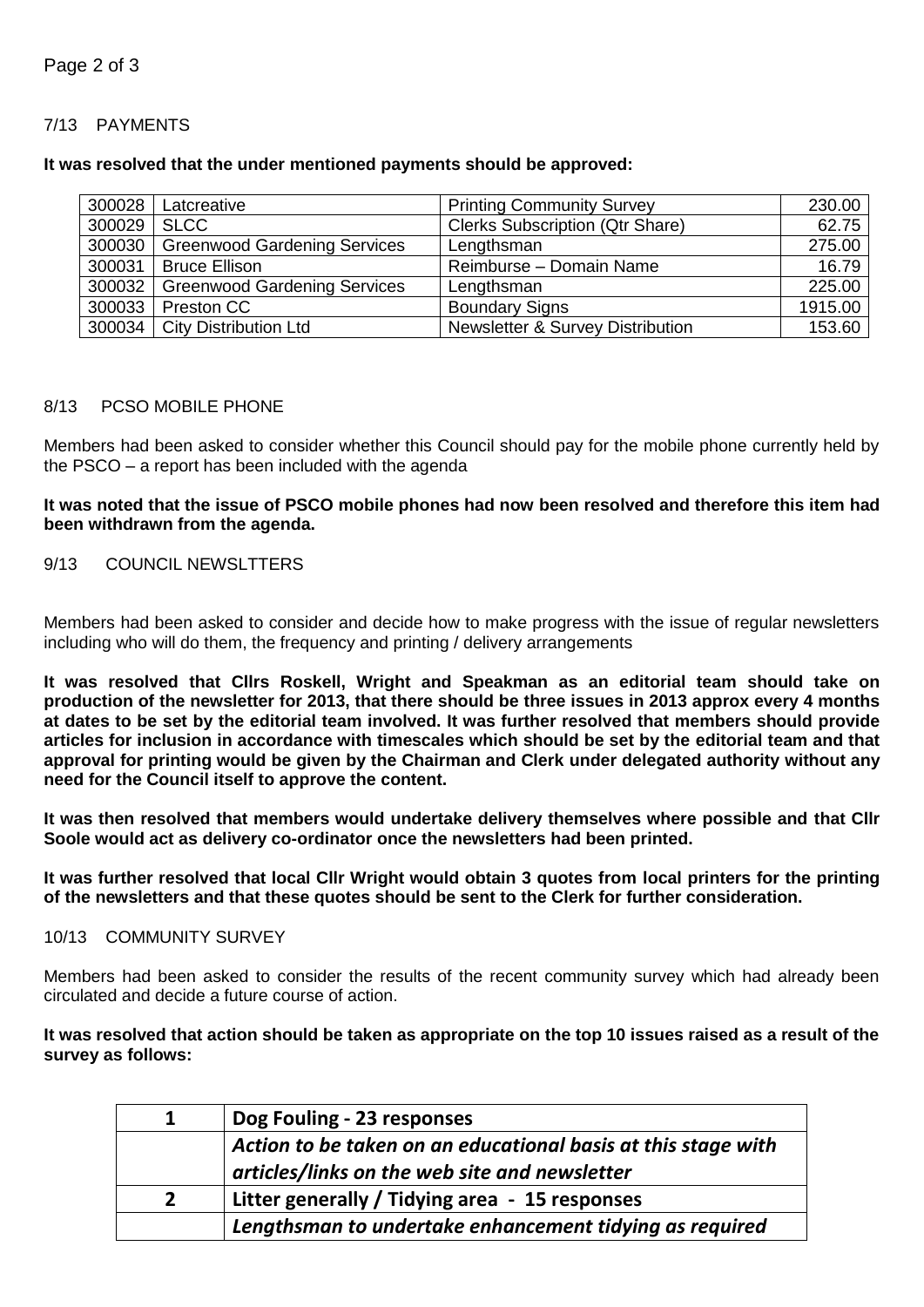# 7/13 PAYMENTS

#### **It was resolved that the under mentioned payments should be approved:**

| 300028 | Latcreative                           | <b>Printing Community Survey</b>            | 230.00  |
|--------|---------------------------------------|---------------------------------------------|---------|
| 300029 | <b>SLCC</b>                           | <b>Clerks Subscription (Qtr Share)</b>      | 62.75   |
| 300030 | Greenwood Gardening Services          | Lengthsman                                  | 275.00  |
| 300031 | <b>Bruce Ellison</b>                  | Reimburse - Domain Name                     | 16.79   |
|        | 300032   Greenwood Gardening Services | Lengthsman                                  | 225.00  |
| 300033 | Preston CC                            | <b>Boundary Signs</b>                       | 1915.00 |
| 300034 | City Distribution Ltd                 | <b>Newsletter &amp; Survey Distribution</b> | 153.60  |

### 8/13 PCSO MOBILE PHONE

Members had been asked to consider whether this Council should pay for the mobile phone currently held by the PSCO – a report has been included with the agenda

**It was noted that the issue of PSCO mobile phones had now been resolved and therefore this item had been withdrawn from the agenda.**

### 9/13 COUNCIL NEWSLTTERS

Members had been asked to consider and decide how to make progress with the issue of regular newsletters including who will do them, the frequency and printing / delivery arrangements

**It was resolved that Cllrs Roskell, Wright and Speakman as an editorial team should take on production of the newsletter for 2013, that there should be three issues in 2013 approx every 4 months at dates to be set by the editorial team involved. It was further resolved that members should provide articles for inclusion in accordance with timescales which should be set by the editorial team and that approval for printing would be given by the Chairman and Clerk under delegated authority without any need for the Council itself to approve the content.**

**It was then resolved that members would undertake delivery themselves where possible and that Cllr Soole would act as delivery co-ordinator once the newsletters had been printed.**

**It was further resolved that local Cllr Wright would obtain 3 quotes from local printers for the printing of the newsletters and that these quotes should be sent to the Clerk for further consideration.**

#### 10/13 COMMUNITY SURVEY

Members had been asked to consider the results of the recent community survey which had already been circulated and decide a future course of action.

**It was resolved that action should be taken as appropriate on the top 10 issues raised as a result of the survey as follows:**

| 1            | Dog Fouling - 23 responses                                                                                     |  |
|--------------|----------------------------------------------------------------------------------------------------------------|--|
|              | Action to be taken on an educational basis at this stage with<br>articles/links on the web site and newsletter |  |
| $\mathbf{2}$ | Litter generally / Tidying area - 15 responses                                                                 |  |
|              | Lengthsman to undertake enhancement tidying as required                                                        |  |